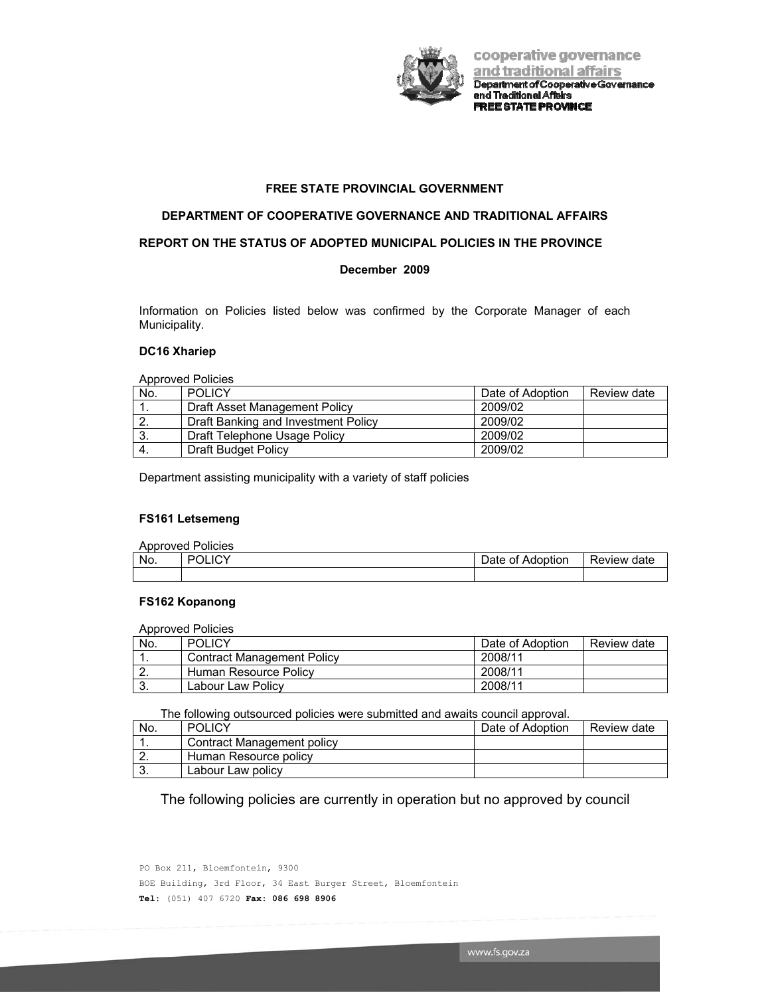

cooperative governance and traditional affairs Department of Cooperative Governance<br>and Traditional Affairs **FREE STATE PROVINCE** 

# **FREE STATE PROVINCIAL GOVERNMENT**

### **DEPARTMENT OF COOPERATIVE GOVERNANCE AND TRADITIONAL AFFAIRS**

### **REPORT ON THE STATUS OF ADOPTED MUNICIPAL POLICIES IN THE PROVINCE**

# **December 2009**

Information on Policies listed below was confirmed by the Corporate Manager of each Municipality.

### **DC16 Xhariep**

Approved Policies

| No.              | <b>POLICY</b>                       | Date of Adoption | Review date |
|------------------|-------------------------------------|------------------|-------------|
|                  | Draft Asset Management Policy       | 2009/02          |             |
| $\overline{2}$ . | Draft Banking and Investment Policy | 2009/02          |             |
| 3.               | Draft Telephone Usage Policy        | 2009/02          |             |
| -4.              | Draft Budget Policy                 | 2009/02          |             |

Department assisting municipality with a variety of staff policies

### **FS161 Letsemeng**

| <b>Approved Policies</b> |         |                  |             |  |
|--------------------------|---------|------------------|-------------|--|
| No.                      | יאו וחפ | Date of Adoption | Review date |  |
|                          |         |                  |             |  |

### **FS162 Kopanong**

Approved Policies

| No.      | <b>POLICY</b>              | Date of Adoption | Review date |
|----------|----------------------------|------------------|-------------|
| . .      | Contract Management Policy | 2008/11          |             |
| <u>.</u> | Human Resource Policy      | 2008/11          |             |
| J.       | Labour Law Policy          | 2008/11          |             |

The following outsourced policies were submitted and awaits council approval.

| No.      | <b>POLICY</b>              | Date of Adoption | Review date |
|----------|----------------------------|------------------|-------------|
|          | Contract Management policy |                  |             |
| <u>.</u> | Human Resource policy      |                  |             |
| J.       | Labour Law policy          |                  |             |

The following policies are currently in operation but no approved by council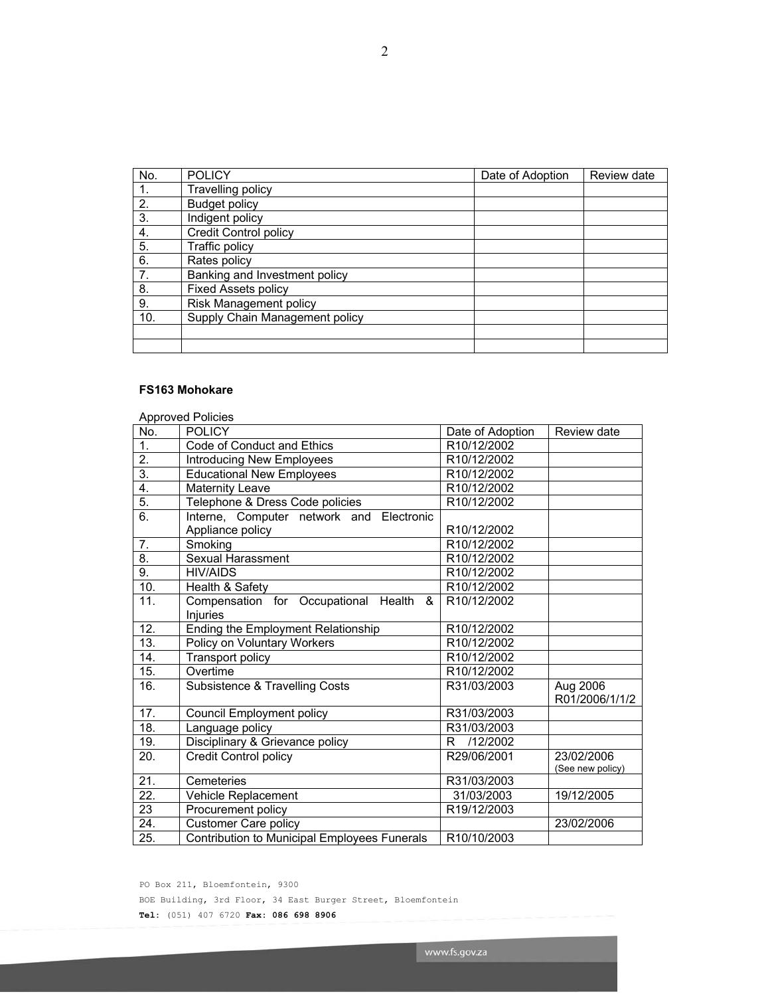| No. | <b>POLICY</b>                  | Date of Adoption | Review date |
|-----|--------------------------------|------------------|-------------|
|     | Travelling policy              |                  |             |
| 2.  | <b>Budget policy</b>           |                  |             |
| 3.  | Indigent policy                |                  |             |
| 4.  | <b>Credit Control policy</b>   |                  |             |
| 5.  | Traffic policy                 |                  |             |
| 6.  | Rates policy                   |                  |             |
| 7.  | Banking and Investment policy  |                  |             |
| 8.  | <b>Fixed Assets policy</b>     |                  |             |
| 9.  | <b>Risk Management policy</b>  |                  |             |
| 10. | Supply Chain Management policy |                  |             |
|     |                                |                  |             |
|     |                                |                  |             |

# **FS163 Mohokare**

|                   | <b>Approved Policies</b>                     |                  |                            |
|-------------------|----------------------------------------------|------------------|----------------------------|
| No.               | <b>POLICY</b>                                | Date of Adoption | Review date                |
| $\overline{1}$ .  | Code of Conduct and Ethics                   | R10/12/2002      |                            |
| $\overline{2}$ .  | Introducing New Employees                    | R10/12/2002      |                            |
| $\overline{3}$ .  | <b>Educational New Employees</b>             | R10/12/2002      |                            |
| 4.                | <b>Maternity Leave</b>                       | R10/12/2002      |                            |
| 5.                | Telephone & Dress Code policies              | R10/12/2002      |                            |
| 6.                | Interne, Computer network and Electronic     |                  |                            |
|                   | Appliance policy                             | R10/12/2002      |                            |
| 7.                | Smoking                                      | R10/12/2002      |                            |
| 8.                | <b>Sexual Harassment</b>                     | R10/12/2002      |                            |
| $\overline{9}$ .  | <b>HIV/AIDS</b>                              | R10/12/2002      |                            |
| 10.               | Health & Safety                              | R10/12/2002      |                            |
| 11.               | Compensation for Occupational Health<br>&    | R10/12/2002      |                            |
|                   | Injuries                                     |                  |                            |
| 12.               | Ending the Employment Relationship           | R10/12/2002      |                            |
| 13.               | Policy on Voluntary Workers                  | R10/12/2002      |                            |
| 14.               | Transport policy                             | R10/12/2002      |                            |
| 15.               | Overtime                                     | R10/12/2002      |                            |
| 16.               | Subsistence & Travelling Costs               | R31/03/2003      | Aug 2006<br>R01/2006/1/1/2 |
| 17.               | <b>Council Employment policy</b>             | R31/03/2003      |                            |
| 18.               | Language policy                              | R31/03/2003      |                            |
| 19.               | Disciplinary & Grievance policy              | R.<br>/12/2002   |                            |
| 20.               | <b>Credit Control policy</b>                 | R29/06/2001      | 23/02/2006                 |
| 21.               | Cemeteries                                   | R31/03/2003      | (See new policy)           |
| $\overline{22}$ . | Vehicle Replacement                          | 31/03/2003       | 19/12/2005                 |
| 23                |                                              |                  |                            |
| 24.               | Procurement policy                           | R19/12/2003      | 23/02/2006                 |
|                   | <b>Customer Care policy</b>                  |                  |                            |
| $\overline{25}$ . | Contribution to Municipal Employees Funerals | R10/10/2003      |                            |

PO Box 211, Bloemfontein, 9300

BOE Building, 3rd Floor, 34 East Burger Street, Bloemfontein

**Tel:** (051) 407 6720 **Fax: 086 698 8906**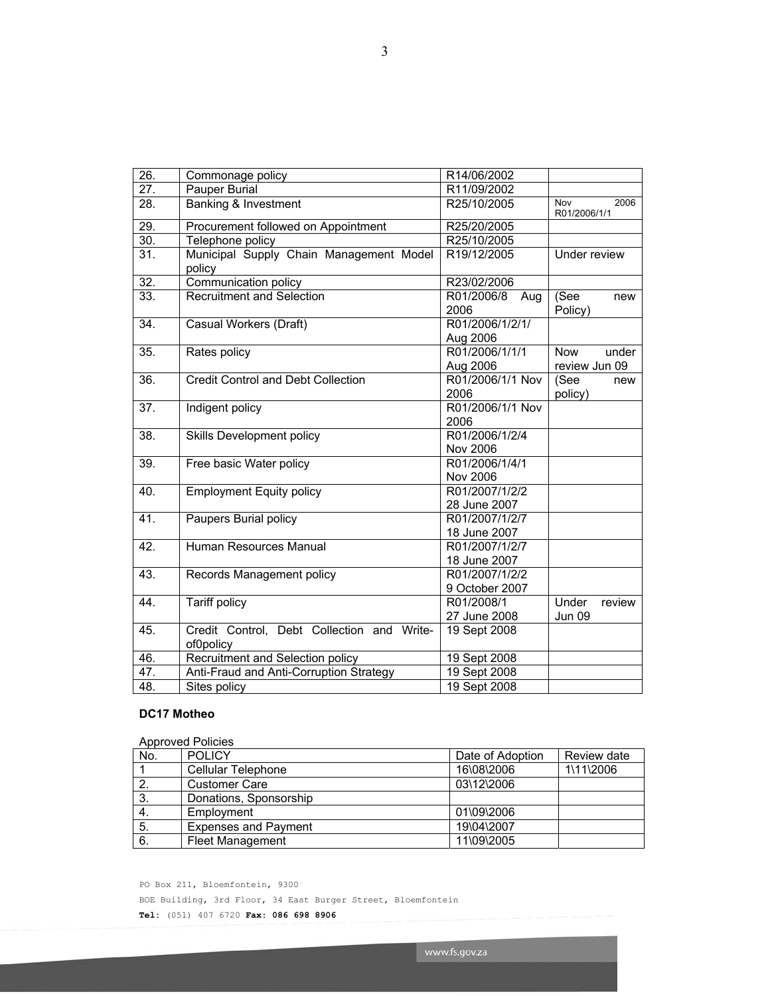| 26.               | Commonage policy                                        | R14/06/2002                      |                                      |
|-------------------|---------------------------------------------------------|----------------------------------|--------------------------------------|
| $\overline{27}$ . | Pauper Burial                                           | R11/09/2002                      |                                      |
| 28.               | <b>Banking &amp; Investment</b>                         | R25/10/2005                      | <b>Nov</b><br>2006<br>R01/2006/1/1   |
| $\overline{29}$ . | Procurement followed on Appointment                     | R25/20/2005                      |                                      |
| 30.               | Telephone policy                                        | R25/10/2005                      |                                      |
| $\overline{31}$   | Municipal Supply Chain Management Model<br>policy       | R19/12/2005                      | Under review                         |
| 32.               | Communication policy                                    | R23/02/2006                      |                                      |
| 33.               | <b>Recruitment and Selection</b>                        | R01/2006/8<br>Aug<br>2006        | (See<br>new<br>Policy)               |
| 34.               | Casual Workers (Draft)                                  | R01/2006/1/2/1/<br>Aug 2006      |                                      |
| 35.               | Rates policy                                            | R01/2006/1/1/1<br>Aug 2006       | <b>Now</b><br>under<br>review Jun 09 |
| 36.               | <b>Credit Control and Debt Collection</b>               | R01/2006/1/1 Nov<br>2006         | (See<br>new<br>policy)               |
| $\overline{37}$ . | Indigent policy                                         | R01/2006/1/1 Nov<br>2006         |                                      |
| 38.               | Skills Development policy                               | R01/2006/1/2/4<br>Nov 2006       |                                      |
| 39.               | Free basic Water policy                                 | R01/2006/1/4/1<br>Nov 2006       |                                      |
| 40.               | <b>Employment Equity policy</b>                         | R01/2007/1/2/2<br>28 June 2007   |                                      |
| 41.               | Paupers Burial policy                                   | R01/2007/1/2/7<br>18 June 2007   |                                      |
| 42.               | Human Resources Manual                                  | R01/2007/1/2/7<br>18 June 2007   |                                      |
| 43.               | Records Management policy                               | R01/2007/1/2/2<br>9 October 2007 |                                      |
| 44.               | <b>Tariff policy</b>                                    | R01/2008/1<br>27 June 2008       | Under<br>review<br>Jun 09            |
| 45.               | Credit Control, Debt Collection and Write-<br>of0policy | 19 Sept 2008                     |                                      |
| 46.               | Recruitment and Selection policy                        | 19 Sept 2008                     |                                      |
| 47.               | Anti-Fraud and Anti-Corruption Strategy                 | 19 Sept 2008                     |                                      |
| 48.               | Sites policy                                            | 19 Sept 2008                     |                                      |

# **DC17 Motheo**

|     | <b>Approved Policies</b>    |                  |             |  |  |
|-----|-----------------------------|------------------|-------------|--|--|
| No. | <b>POLICY</b>               | Date of Adoption | Review date |  |  |
|     | Cellular Telephone          | 16\08\2006       | 1\11\2006   |  |  |
|     | <b>Customer Care</b>        | 03\12\2006       |             |  |  |
| 3.  | Donations, Sponsorship      |                  |             |  |  |
| -4. | Employment                  | 01\09\2006       |             |  |  |
| 5.  | <b>Expenses and Payment</b> | 19\04\2007       |             |  |  |
| 6.  | <b>Fleet Management</b>     | 11\09\2005       |             |  |  |

PO Box 211, Bloemfontein, 9300 BOE Building, 3rd Floor, 34 East Burger Street, Bloemfontein **Tel:** (051) 407 6720 **Fax: 086 698 8906**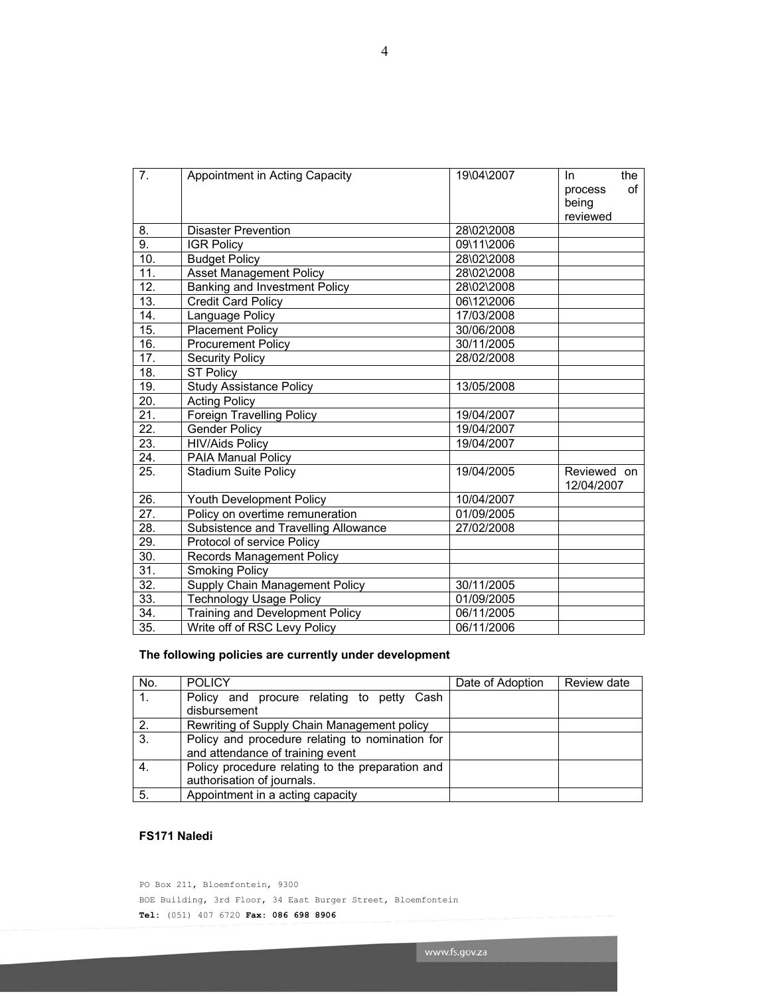| 7.                | Appointment in Acting Capacity         | 19\04\2007 | the<br>In.<br>οf |
|-------------------|----------------------------------------|------------|------------------|
|                   |                                        |            | process<br>being |
|                   |                                        |            | reviewed         |
| 8.                | <b>Disaster Prevention</b>             | 28\02\2008 |                  |
| 9.                | <b>IGR Policy</b>                      | 09\11\2006 |                  |
| 10.               |                                        | 28\02\2008 |                  |
| 11.               | <b>Budget Policy</b>                   | 28\02\2008 |                  |
|                   | <b>Asset Management Policy</b>         |            |                  |
| $\overline{12}$ . | Banking and Investment Policy          | 28\02\2008 |                  |
| $\overline{13}$ . | <b>Credit Card Policy</b>              | 06\12\2006 |                  |
| 14.               | Language Policy                        | 17/03/2008 |                  |
| 15.               | Placement Policy                       | 30/06/2008 |                  |
| 16.               | <b>Procurement Policy</b>              | 30/11/2005 |                  |
| 17.               | <b>Security Policy</b>                 | 28/02/2008 |                  |
| 18.               | <b>ST Policy</b>                       |            |                  |
| 19.               | <b>Study Assistance Policy</b>         | 13/05/2008 |                  |
| 20.               | <b>Acting Policy</b>                   |            |                  |
| 21.               | <b>Foreign Travelling Policy</b>       | 19/04/2007 |                  |
| $\overline{22}$ . | Gender Policy                          | 19/04/2007 |                  |
| 23.               | <b>HIV/Aids Policy</b>                 | 19/04/2007 |                  |
| 24.               | PAIA Manual Policy                     |            |                  |
| 25.               | <b>Stadium Suite Policy</b>            | 19/04/2005 | Reviewed on      |
|                   |                                        |            | 12/04/2007       |
| 26.               | Youth Development Policy               | 10/04/2007 |                  |
| $\overline{27}$ . | Policy on overtime remuneration        | 01/09/2005 |                  |
| $\overline{28}$ . | Subsistence and Travelling Allowance   | 27/02/2008 |                  |
| 29.               | Protocol of service Policy             |            |                  |
| 30.               | <b>Records Management Policy</b>       |            |                  |
| $\overline{31}$ . | Smoking Policy                         |            |                  |
| $\overline{32}$ . | Supply Chain Management Policy         | 30/11/2005 |                  |
| 33.               | <b>Technology Usage Policy</b>         | 01/09/2005 |                  |
| 34.               | <b>Training and Development Policy</b> | 06/11/2005 |                  |
| $\overline{35}$ . | Write off of RSC Levy Policy           | 06/11/2006 |                  |
|                   |                                        |            |                  |

# **The following policies are currently under development**

| No. | <b>POLICY</b>                                    | Date of Adoption | Review date |
|-----|--------------------------------------------------|------------------|-------------|
| 1.  | Policy and procure relating to petty Cash        |                  |             |
|     | disbursement                                     |                  |             |
| 2.  | Rewriting of Supply Chain Management policy      |                  |             |
| 3.  | Policy and procedure relating to nomination for  |                  |             |
|     | and attendance of training event                 |                  |             |
| 4.  | Policy procedure relating to the preparation and |                  |             |
|     | authorisation of journals.                       |                  |             |
| 5.  | Appointment in a acting capacity                 |                  |             |

# **FS171 Naledi**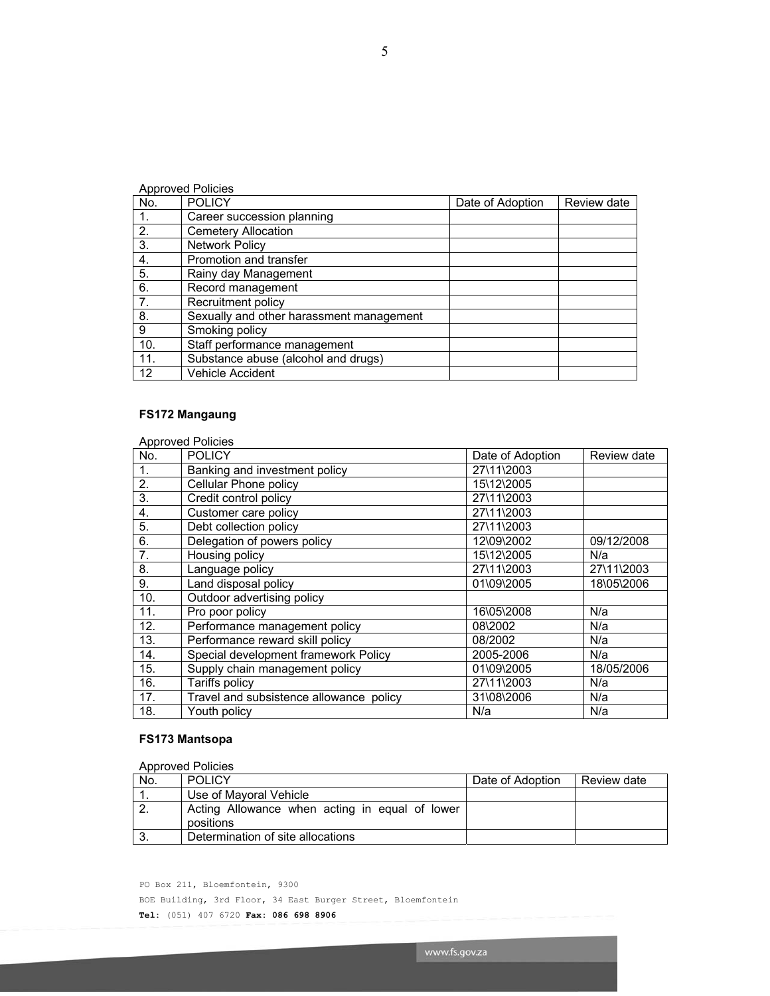5

No. POLICY Date of Adoption Review date

# **FS172 Mangaung**

Approved Policies

1. Career succession planning<br>2. Cemetery Allocation 2. Cemetery Allocation<br>3. Network Policy Network Policy 4. Promotion and transfer 5. Rainy day Management 6. Record management 7. **Recruitment policy** 

Smoking policy

Vehicle Accident

10. Staff performance management<br>11. Substance abuse (alcohol and d 11. Substance abuse (alcohol and drugs)<br>12 Vehicle Accident

8. Sexually and other harassment management<br>9 Smoking policy

|     | <b>Approved Policies</b>                |                  |             |
|-----|-----------------------------------------|------------------|-------------|
| No. | <b>POLICY</b>                           | Date of Adoption | Review date |
| 1.  | Banking and investment policy           | 27\11\2003       |             |
| 2.  | Cellular Phone policy                   | 15\12\2005       |             |
| 3.  | Credit control policy                   | 27\11\2003       |             |
| 4.  | Customer care policy                    | 27\11\2003       |             |
| 5.  | Debt collection policy                  | 27\11\2003       |             |
| 6.  | Delegation of powers policy             | 12\09\2002       | 09/12/2008  |
| 7.  | Housing policy                          | 15\12\2005       | N/a         |
| 8.  | Language policy                         | 27\11\2003       | 27\11\2003  |
| 9.  | Land disposal policy                    | 01\09\2005       | 18\05\2006  |
| 10. | Outdoor advertising policy              |                  |             |
| 11. | Pro poor policy                         | 16\05\2008       | N/a         |
| 12. | Performance management policy           | 08\2002          | N/a         |
| 13. | Performance reward skill policy         | 08/2002          | N/a         |
| 14. | Special development framework Policy    | 2005-2006        | N/a         |
| 15. | Supply chain management policy          | 01\09\2005       | 18/05/2006  |
| 16. | Tariffs policy                          | 27\11\2003       | N/a         |
| 17. | Travel and subsistence allowance policy | 31\08\2006       | N/a         |
| 18. | Youth policy                            | N/a              | N/a         |

# **FS173 Mantsopa**

Approved Policies

| No. | <b>POLICY</b>                                               | Date of Adoption | Review date |
|-----|-------------------------------------------------------------|------------------|-------------|
|     | Use of Mayoral Vehicle                                      |                  |             |
|     | Acting Allowance when acting in equal of lower<br>positions |                  |             |
| -3. | Determination of site allocations                           |                  |             |

www.fs.gov.za

PO Box 211, Bloemfontein, 9300

BOE Building, 3rd Floor, 34 East Burger Street, Bloemfontein

**Tel:** (051) 407 6720 **Fax: 086 698 8906**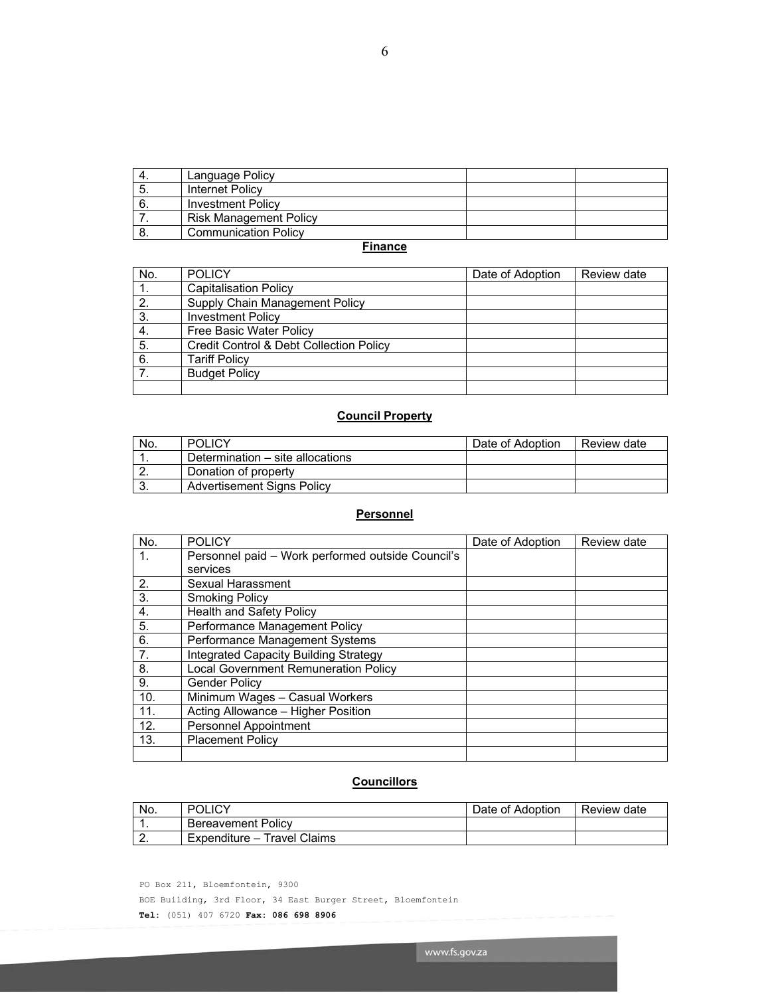# 6

|     | Language Policy               |  |
|-----|-------------------------------|--|
| . ප | <b>Internet Policy</b>        |  |
| 6.  | <b>Investment Policy</b>      |  |
|     | <b>Risk Management Policy</b> |  |
| O.  | <b>Communication Policy</b>   |  |

## **Finance**

| No. | <b>POLICY</b>                           | Date of Adoption | Review date |
|-----|-----------------------------------------|------------------|-------------|
|     | <b>Capitalisation Policy</b>            |                  |             |
| 2.  | Supply Chain Management Policy          |                  |             |
| 3.  | <b>Investment Policy</b>                |                  |             |
| 4.  | Free Basic Water Policy                 |                  |             |
| 5.  | Credit Control & Debt Collection Policy |                  |             |
| 6.  | <b>Tariff Policy</b>                    |                  |             |
|     | <b>Budget Policy</b>                    |                  |             |
|     |                                         |                  |             |

# **Council Property**

| No. | <b>POLICY</b>                     | Date of Adoption | Review date |
|-----|-----------------------------------|------------------|-------------|
| . . | Determination – site allocations  |                  |             |
|     | Donation of property              |                  |             |
| J.  | <b>Advertisement Signs Policy</b> |                  |             |

# **Personnel**

| No. | <b>POLICY</b>                                     | Date of Adoption | Review date |
|-----|---------------------------------------------------|------------------|-------------|
| 1.  | Personnel paid – Work performed outside Council's |                  |             |
|     | services                                          |                  |             |
| 2.  | Sexual Harassment                                 |                  |             |
| 3.  | <b>Smoking Policy</b>                             |                  |             |
| 4.  | <b>Health and Safety Policy</b>                   |                  |             |
| 5.  | Performance Management Policy                     |                  |             |
| 6.  | Performance Management Systems                    |                  |             |
| 7.  | <b>Integrated Capacity Building Strategy</b>      |                  |             |
| 8.  | <b>Local Government Remuneration Policy</b>       |                  |             |
| 9.  | <b>Gender Policy</b>                              |                  |             |
| 10. | Minimum Wages - Casual Workers                    |                  |             |
| 11. | Acting Allowance - Higher Position                |                  |             |
| 12. | Personnel Appointment                             |                  |             |
| 13. | <b>Placement Policy</b>                           |                  |             |
|     |                                                   |                  |             |

# **Councillors**

| No.      | <b>POLICY</b>               | Date of Adoption | Review date |
|----------|-----------------------------|------------------|-------------|
| . .      | Bereavement Policy          |                  |             |
| <u>.</u> | Expenditure – Travel Claims |                  |             |

www.fs.gov.za

PO Box 211, Bloemfontein, 9300

BOE Building, 3rd Floor, 34 East Burger Street, Bloemfontein

**Tel:** (051) 407 6720 **Fax: 086 698 8906**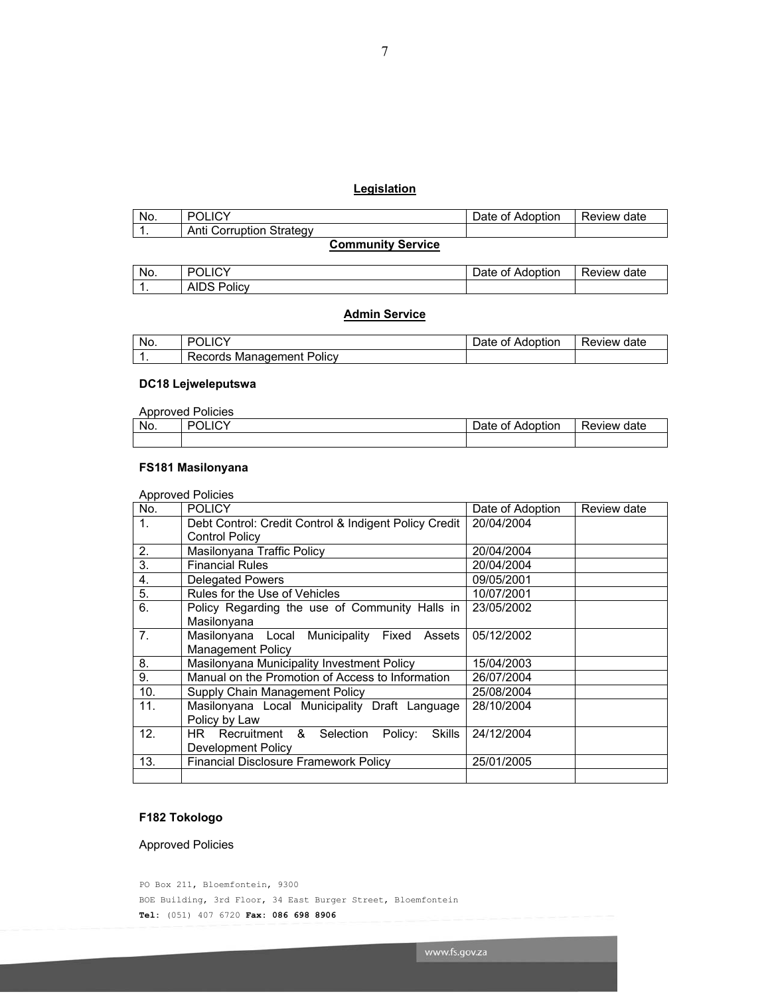# **Legislation**

| No. | $\sim$<br>м                 | $\cdots$<br>⊃ate<br>Adoption<br>0t | Review date |
|-----|-----------------------------|------------------------------------|-------------|
| . . | Corruption Strategy<br>Anti |                                    |             |
|     |                             |                                    |             |

# **Community Service**

| No. | <b>POLICY</b>   | Date<br>Adoption<br>∍ of ר | Review date |
|-----|-----------------|----------------------------|-------------|
| . . | AIDS,<br>Policy |                            |             |

# **Admin Service**

| No. | . )I<br>◡                         | ⊃ate<br>Adoption<br>Οt | Review<br>date |
|-----|-----------------------------------|------------------------|----------------|
|     | . Policv<br>Management<br>Records |                        |                |

# **DC18 Lejweleputswa**

|     | <b>Approved Policies</b> |                  |             |
|-----|--------------------------|------------------|-------------|
| No. | <b>POLICY</b>            | Date of Adoption | Review date |
|     |                          |                  |             |

### **FS181 Masilonyana**

|                | <b>Approved Policies</b>                              |                  |             |
|----------------|-------------------------------------------------------|------------------|-------------|
| No.            | <b>POLICY</b>                                         | Date of Adoption | Review date |
| 1 <sub>1</sub> | Debt Control: Credit Control & Indigent Policy Credit | 20/04/2004       |             |
|                | <b>Control Policy</b>                                 |                  |             |
| 2.             | Masilonyana Traffic Policy                            | 20/04/2004       |             |
| 3.             | <b>Financial Rules</b>                                | 20/04/2004       |             |
| 4.             | <b>Delegated Powers</b>                               | 09/05/2001       |             |
| 5.             | Rules for the Use of Vehicles                         | 10/07/2001       |             |
| 6.             | Policy Regarding the use of Community Halls in        | 23/05/2002       |             |
|                | Masilonyana                                           |                  |             |
| 7 <sub>1</sub> | Masilonyana Local Municipality Fixed<br>Assets        | 05/12/2002       |             |
|                | <b>Management Policy</b>                              |                  |             |
| 8.             | Masilonyana Municipality Investment Policy            | 15/04/2003       |             |
| 9.             | Manual on the Promotion of Access to Information      | 26/07/2004       |             |
| 10.            | Supply Chain Management Policy                        | 25/08/2004       |             |
| 11.            | Masilonyana Local Municipality Draft Language         | 28/10/2004       |             |
|                | Policy by Law                                         |                  |             |
| 12.            | Recruitment & Selection<br>HR.<br>Skills<br>Policy:   | 24/12/2004       |             |
|                | Development Policy                                    |                  |             |
| 13.            | <b>Financial Disclosure Framework Policy</b>          | 25/01/2005       |             |
|                |                                                       |                  |             |

# **F182 Tokologo**

Approved Policies

PO Box 211, Bloemfontein, 9300 BOE Building, 3rd Floor, 34 East Burger Street, Bloemfontein **Tel:** (051) 407 6720 **Fax: 086 698 8906**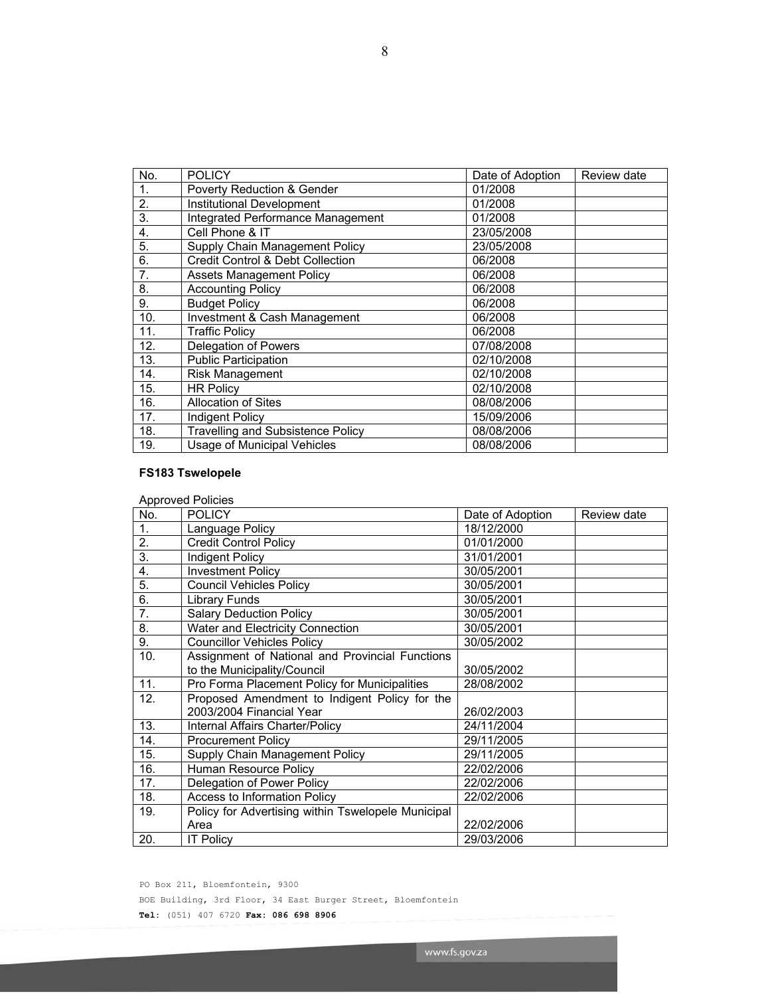| No.            | <b>POLICY</b>                               | Date of Adoption | Review date |
|----------------|---------------------------------------------|------------------|-------------|
| $\mathbf{1}$ . | <b>Poverty Reduction &amp; Gender</b>       | 01/2008          |             |
| 2.             | <b>Institutional Development</b>            | 01/2008          |             |
| 3.             | Integrated Performance Management           | 01/2008          |             |
| 4.             | Cell Phone & IT                             | 23/05/2008       |             |
| 5.             | Supply Chain Management Policy              | 23/05/2008       |             |
| 6.             | <b>Credit Control &amp; Debt Collection</b> | 06/2008          |             |
| 7.             | <b>Assets Management Policy</b>             | 06/2008          |             |
| 8.             | <b>Accounting Policy</b>                    | 06/2008          |             |
| 9.             | <b>Budget Policy</b>                        | 06/2008          |             |
| 10.            | <b>Investment &amp; Cash Management</b>     | 06/2008          |             |
| 11.            | <b>Traffic Policy</b>                       | 06/2008          |             |
| 12.            | Delegation of Powers                        | 07/08/2008       |             |
| 13.            | <b>Public Participation</b>                 | 02/10/2008       |             |
| 14.            | <b>Risk Management</b>                      | 02/10/2008       |             |
| 15.            | <b>HR Policy</b>                            | 02/10/2008       |             |
| 16.            | Allocation of Sites                         | 08/08/2006       |             |
| 17.            | Indigent Policy                             | 15/09/2006       |             |
| 18.            | <b>Travelling and Subsistence Policy</b>    | 08/08/2006       |             |
| 19.            | <b>Usage of Municipal Vehicles</b>          | 08/08/2006       |             |

# **FS183 Tswelopele**

| No.              | <b>POLICY</b>                                      | Date of Adoption | Review date |
|------------------|----------------------------------------------------|------------------|-------------|
| $\mathbf{1}$ .   | Language Policy                                    | 18/12/2000       |             |
| $\overline{2}$ . | <b>Credit Control Policy</b>                       | 01/01/2000       |             |
| 3.               | Indigent Policy                                    | 31/01/2001       |             |
| 4.               | <b>Investment Policy</b>                           | 30/05/2001       |             |
| $\overline{5}$ . | <b>Council Vehicles Policy</b>                     | 30/05/2001       |             |
| 6.               | Library Funds                                      | 30/05/2001       |             |
| 7.               | <b>Salary Deduction Policy</b>                     | 30/05/2001       |             |
| 8.               | Water and Electricity Connection                   | 30/05/2001       |             |
| 9.               | <b>Councillor Vehicles Policy</b>                  | 30/05/2002       |             |
| 10.              | Assignment of National and Provincial Functions    |                  |             |
|                  | to the Municipality/Council                        | 30/05/2002       |             |
| 11.              | Pro Forma Placement Policy for Municipalities      | 28/08/2002       |             |
| 12.              | Proposed Amendment to Indigent Policy for the      |                  |             |
|                  | 2003/2004 Financial Year                           | 26/02/2003       |             |
| 13.              | Internal Affairs Charter/Policy                    | 24/11/2004       |             |
| 14.              | <b>Procurement Policy</b>                          | 29/11/2005       |             |
| 15.              | Supply Chain Management Policy                     | 29/11/2005       |             |
| 16.              | Human Resource Policy                              | 22/02/2006       |             |
| 17.              | Delegation of Power Policy                         | 22/02/2006       |             |
| 18.              | Access to Information Policy                       | 22/02/2006       |             |
| 19.              | Policy for Advertising within Tswelopele Municipal |                  |             |
|                  | Area                                               | 22/02/2006       |             |
| 20.              | <b>IT Policy</b>                                   | 29/03/2006       |             |

PO Box 211, Bloemfontein, 9300 BOE Building, 3rd Floor, 34 East Burger Street, Bloemfontein **Tel:** (051) 407 6720 **Fax: 086 698 8906**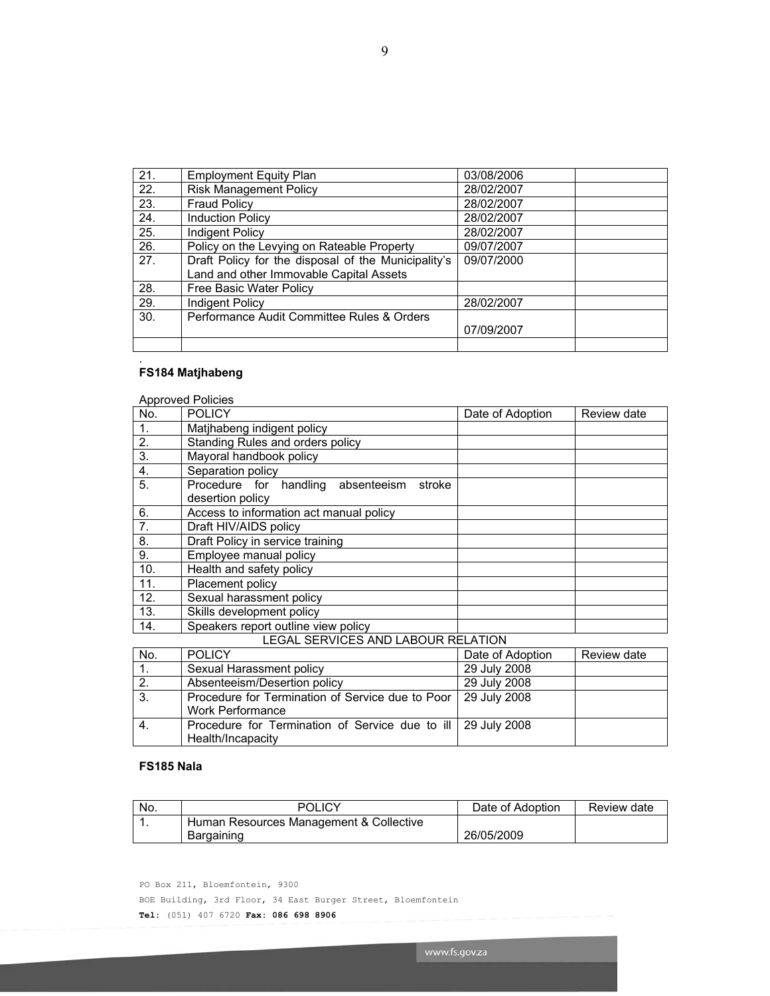21. Employment Equity Plan 03/08/2006 22. Risk Management Policy 28/02/2007 23. Fraud Policy 28/02/2007<br>24. Induction Policy 28/02/2007

25. | Indigent Policy | 28/02/2007 26. Policy on the Levying on Rateable Property | 09/07/2007

29. Indigent Policy 28/02/2007

27. Draft Policy for the disposal of the Municipality's Land and other Immovable Capital Assets

30. Performance Audit Committee Rules & Orders

Induction Policy 28/02/2007

09/07/2000

07/09/2007

28. Free Basic Water Policy

### **FS184 Matjhabeng**

.

|                | <b>Approved Policies</b>                        |                  |             |
|----------------|-------------------------------------------------|------------------|-------------|
| No.            | <b>POLICY</b>                                   | Date of Adoption | Review date |
| 1.             | Matjhabeng indigent policy                      |                  |             |
| 2.             | Standing Rules and orders policy                |                  |             |
| 3.             | Mayoral handbook policy                         |                  |             |
| 4.             | Separation policy                               |                  |             |
| 5.             | Procedure for handling<br>absenteeism<br>stroke |                  |             |
|                | desertion policy                                |                  |             |
| 6.             | Access to information act manual policy         |                  |             |
| 7 <sub>1</sub> | Draft HIV/AIDS policy                           |                  |             |
| 8.             | Draft Policy in service training                |                  |             |
| 9.             | Employee manual policy                          |                  |             |
| 10.            | Health and safety policy                        |                  |             |
| 11.            | Placement policy                                |                  |             |
| 12.            | Sexual harassment policy                        |                  |             |
| 13.            | Skills development policy                       |                  |             |
| 14.            | Speakers report outline view policy             |                  |             |
|                | LEGAL SERVICES AND LABOUR RELATION              |                  |             |

| No. | <b>POLICY</b>                                                   | Date of Adoption | Review date |
|-----|-----------------------------------------------------------------|------------------|-------------|
|     | Sexual Harassment policy                                        | 29 July 2008     |             |
| 2.  | Absenteeism/Desertion policy                                    | 29 July 2008     |             |
| 3.  | Procedure for Termination of Service due to Poor   29 July 2008 |                  |             |
|     | <b>Work Performance</b>                                         |                  |             |
| 4.  | Procedure for Termination of Service due to ill   29 July 2008  |                  |             |
|     | Health/Incapacity                                               |                  |             |

### **FS185 Nala**

| No. | <b>POLICY</b>                           | Date of Adoption | Review date |
|-----|-----------------------------------------|------------------|-------------|
|     | Human Resources Management & Collective |                  |             |
|     | Bargaining                              | 26/05/2009       |             |

www.fs.gov.za

PO Box 211, Bloemfontein, 9300

BOE Building, 3rd Floor, 34 East Burger Street, Bloemfontein

**Tel:** (051) 407 6720 **Fax: 086 698 8906**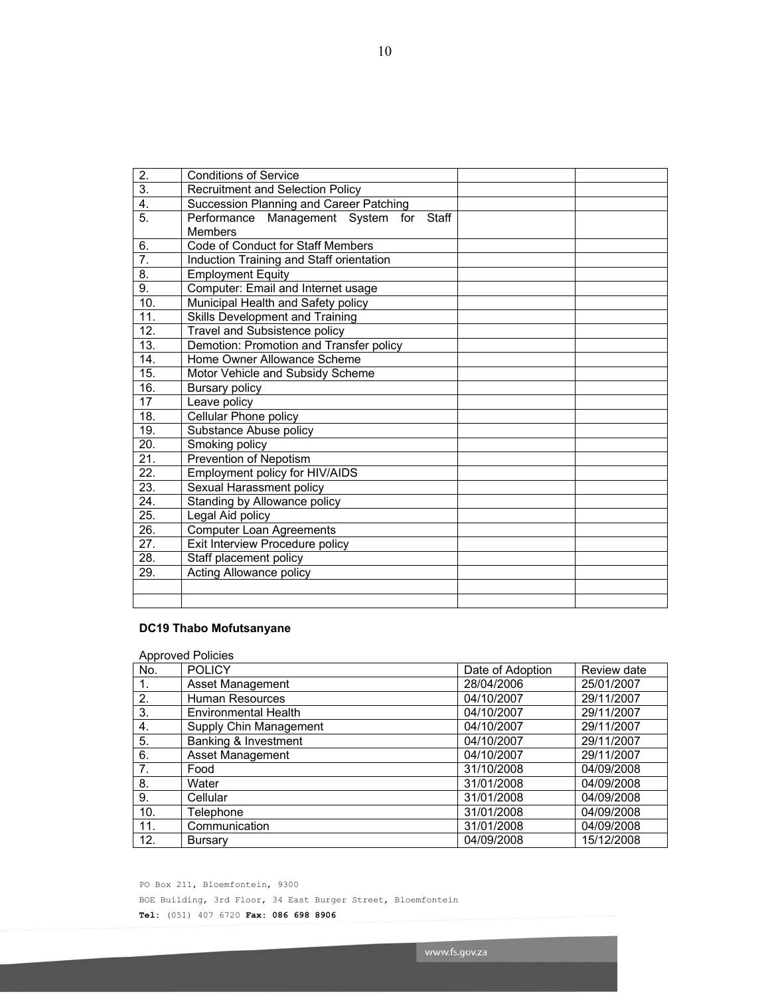| 2.                | <b>Conditions of Service</b>                                 |  |
|-------------------|--------------------------------------------------------------|--|
| $\overline{3}$ .  | Recruitment and Selection Policy                             |  |
| $\overline{4}$ .  | Succession Planning and Career Patching                      |  |
| 5.                | Performance Management System for<br>Staff<br><b>Members</b> |  |
| 6.                | Code of Conduct for Staff Members                            |  |
| 7.                | Induction Training and Staff orientation                     |  |
| 8.                | <b>Employment Equity</b>                                     |  |
| $\overline{9}$ .  | Computer: Email and Internet usage                           |  |
| 10.               | Municipal Health and Safety policy                           |  |
| 11.               | Skills Development and Training                              |  |
| 12.               | Travel and Subsistence policy                                |  |
| 13.               | Demotion: Promotion and Transfer policy                      |  |
| $\overline{14}$ . | Home Owner Allowance Scheme                                  |  |
| 15.               | Motor Vehicle and Subsidy Scheme                             |  |
| 16.               | Bursary policy                                               |  |
| 17                | Leave policy                                                 |  |
| 18.               | Cellular Phone policy                                        |  |
| 19.               | Substance Abuse policy                                       |  |
| 20.               | Smoking policy                                               |  |
| 21.               | Prevention of Nepotism                                       |  |
| 22.               | Employment policy for HIV/AIDS                               |  |
| 23.               | Sexual Harassment policy                                     |  |
| 24.               | Standing by Allowance policy                                 |  |
| 25.               | Legal Aid policy                                             |  |
| 26.               | <b>Computer Loan Agreements</b>                              |  |
| $\overline{27}$ . | Exit Interview Procedure policy                              |  |
| 28.               | Staff placement policy                                       |  |
| 29.               | <b>Acting Allowance policy</b>                               |  |
|                   |                                                              |  |
|                   |                                                              |  |

# **DC19 Thabo Mofutsanyane**

| <b>Approved Policies</b> |                        |                  |             |  |
|--------------------------|------------------------|------------------|-------------|--|
| No.                      | <b>POLICY</b>          | Date of Adoption | Review date |  |
| 1.                       | Asset Management       | 28/04/2006       | 25/01/2007  |  |
| 2.                       | <b>Human Resources</b> | 04/10/2007       | 29/11/2007  |  |
| 3.                       | Environmental Health   | 04/10/2007       | 29/11/2007  |  |
| 4.                       | Supply Chin Management | 04/10/2007       | 29/11/2007  |  |
| 5.                       | Banking & Investment   | 04/10/2007       | 29/11/2007  |  |
| 6.                       | Asset Management       | 04/10/2007       | 29/11/2007  |  |
| 7.                       | Food                   | 31/10/2008       | 04/09/2008  |  |
| 8.                       | Water                  | 31/01/2008       | 04/09/2008  |  |
| 9.                       | Cellular               | 31/01/2008       | 04/09/2008  |  |
| 10.                      | Telephone              | 31/01/2008       | 04/09/2008  |  |
| 11.                      | Communication          | 31/01/2008       | 04/09/2008  |  |
| 12.                      | <b>Bursary</b>         | 04/09/2008       | 15/12/2008  |  |

PO Box 211, Bloemfontein, 9300 BOE Building, 3rd Floor, 34 East Burger Street, Bloemfontein **Tel:** (051) 407 6720 **Fax: 086 698 8906**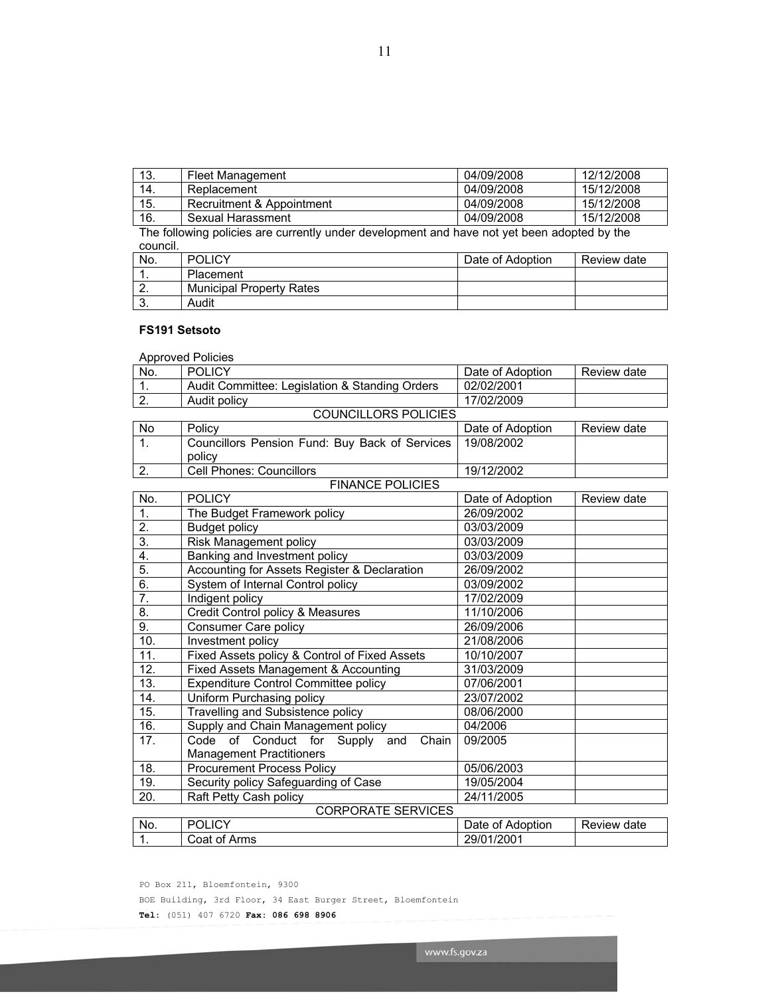www.fs.gov.za

PO Box 211, Bloemfontein, 9300

BOE Building, 3rd Floor, 34 East Burger Street, Bloemfontein

**Tel:** (051) 407 6720 **Fax: 086 698 8906** 

|                  | <b>FINANCE POLICIES</b>                                                       |                  |             |
|------------------|-------------------------------------------------------------------------------|------------------|-------------|
| No.              | <b>POLICY</b>                                                                 | Date of Adoption | Review date |
| 1.               | The Budget Framework policy                                                   | 26/09/2002       |             |
| 2.               | <b>Budget policy</b>                                                          | 03/03/2009       |             |
| $\overline{3}$ . | Risk Management policy                                                        | 03/03/2009       |             |
| 4.               | Banking and Investment policy                                                 | 03/03/2009       |             |
| $\overline{5}$ . | Accounting for Assets Register & Declaration                                  | 26/09/2002       |             |
| 6.               | System of Internal Control policy                                             | 03/09/2002       |             |
| 7.               | Indigent policy                                                               | 17/02/2009       |             |
| 8.               | Credit Control policy & Measures                                              | 11/10/2006       |             |
| 9.               | Consumer Care policy                                                          | 26/09/2006       |             |
| 10.              | Investment policy                                                             | 21/08/2006       |             |
| 11.              | Fixed Assets policy & Control of Fixed Assets                                 | 10/10/2007       |             |
| 12.              | Fixed Assets Management & Accounting                                          | 31/03/2009       |             |
| 13.              | <b>Expenditure Control Committee policy</b>                                   | 07/06/2001       |             |
| 14.              | Uniform Purchasing policy                                                     | 23/07/2002       |             |
| 15.              | Travelling and Subsistence policy                                             | 08/06/2000       |             |
| 16.              | Supply and Chain Management policy                                            | 04/2006          |             |
| 17.              | Code of Conduct for Supply<br>Chain<br>and<br><b>Management Practitioners</b> | 09/2005          |             |
| 18.              | <b>Procurement Process Policy</b>                                             | 05/06/2003       |             |
| 19.              | Security policy Safeguarding of Case                                          | 19/05/2004       |             |
| 20.              | Raft Petty Cash policy                                                        | 24/11/2005       |             |
|                  | <b>CORPORATE SERVICES</b>                                                     |                  |             |
| No.              | <b>POLICY</b>                                                                 | Date of Adoption | Review date |
| 1.               | Coat of Arms                                                                  | 29/01/2001       |             |

# **FS191 Setsoto**  Approved Policies

Audit policy

policy

| council. |                                 |                  |             |
|----------|---------------------------------|------------------|-------------|
| No.      | <b>POLICY</b>                   | Date of Adoption | Review date |
|          | Placement                       |                  |             |
|          | <b>Municipal Property Rates</b> |                  |             |
| J.       | Audit                           |                  |             |

No. POLICY Date of Adoption Review date

19/08/2002

COUNCILLORS POLICIES No Policy Date of Adoption Review date<br>
1. Councillors Pension Fund: Buy Back of Services 19/08/2002

1. Audit Committee: Legislation & Standing Orders 02/02/2001<br>2. Audit policy 17/02/2009

1. Councillors Pension Fund: Buy Back of Services

2. Cell Phones: Councillors 19/12/2002

| -15.                                                                                        | Recruitment & Appointment | 04/09/2008 | 15/12/2008 |  |
|---------------------------------------------------------------------------------------------|---------------------------|------------|------------|--|
| 16.                                                                                         | Sexual Harassment         | 04/09/2008 | 15/12/2008 |  |
| The following policies are currently under development and have not yet been adopted by the |                           |            |            |  |

| 13. | <b>Fleet Management</b>   | 04/09/2008 | 12/12/2008 |
|-----|---------------------------|------------|------------|
| 14. | Replacement               | 04/09/2008 | 15/12/2008 |
| 15. | Recruitment & Appointment | 04/09/2008 | 15/12/2008 |
| 16. | Sexual Harassment         | 04/09/2008 | 15/12/2008 |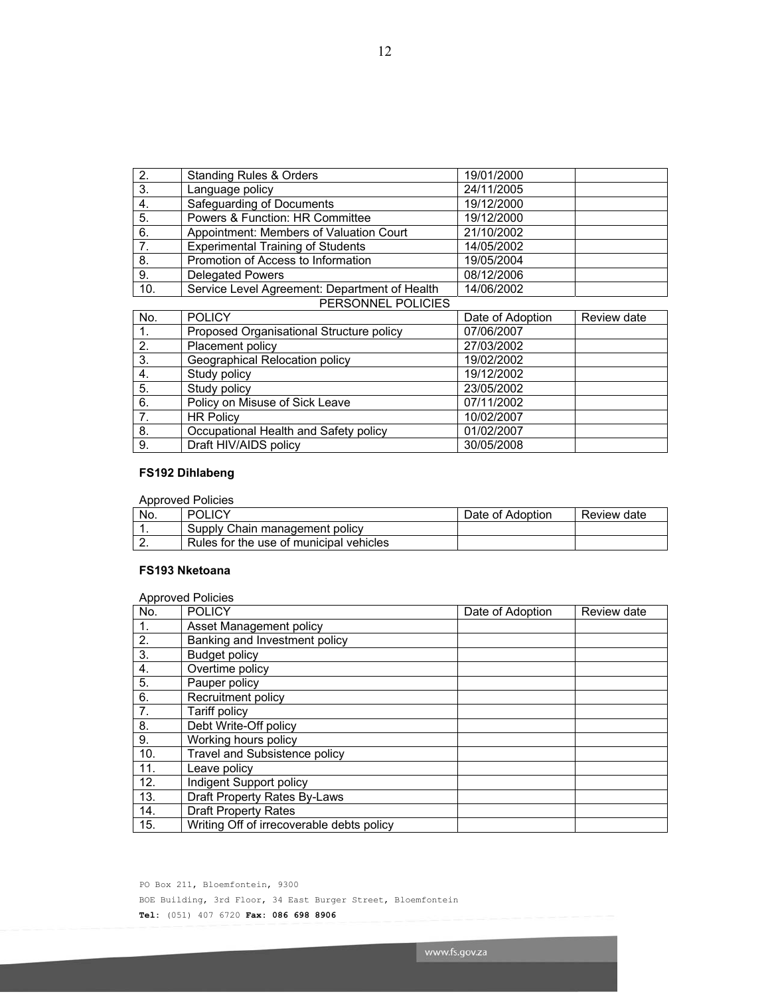| .   | $P^{\prime}$                                  | .          | . |
|-----|-----------------------------------------------|------------|---|
|     | PERSONNEL POLICIES                            |            |   |
| 10. | Service Level Agreement: Department of Health | 14/06/2002 |   |
| 9.  | <b>Delegated Powers</b>                       | 08/12/2006 |   |
| 8.  | Promotion of Access to Information            | 19/05/2004 |   |
| 7.  | <b>Experimental Training of Students</b>      | 14/05/2002 |   |
| 6.  | Appointment: Members of Valuation Court       | 21/10/2002 |   |
| 5.  | Powers & Function: HR Committee               | 19/12/2000 |   |
| 4.  | Safeguarding of Documents                     | 19/12/2000 |   |
| 3.  | Language policy                               | 24/11/2005 |   |
| 2.  | <b>Standing Rules &amp; Orders</b>            | 19/01/2000 |   |

|     | PERSUNNEL PULIUIES                       |                  |             |
|-----|------------------------------------------|------------------|-------------|
| No. | <b>POLICY</b>                            | Date of Adoption | Review date |
|     | Proposed Organisational Structure policy | 07/06/2007       |             |
| 2.  | Placement policy                         | 27/03/2002       |             |
| 3.  | Geographical Relocation policy           | 19/02/2002       |             |
| 4.  | Study policy                             | 19/12/2002       |             |
| 5.  | Study policy                             | 23/05/2002       |             |
| 6.  | Policy on Misuse of Sick Leave           | 07/11/2002       |             |
| 7.  | <b>HR Policy</b>                         | 10/02/2007       |             |
| 8.  | Occupational Health and Safety policy    | 01/02/2007       |             |
| 9.  | Draft HIV/AIDS policy                    | 30/05/2008       |             |

# **FS192 Dihlabeng**

| Approved Policies |                                         |                  |             |  |
|-------------------|-----------------------------------------|------------------|-------------|--|
| No.               | POLICY                                  | Date of Adoption | Review date |  |
|                   | Supply Chain management policy          |                  |             |  |
| <u>.</u>          | Rules for the use of municipal vehicles |                  |             |  |

### **FS193 Nketoana**

| <b>Approved Policies</b> |                                           |                  |             |  |
|--------------------------|-------------------------------------------|------------------|-------------|--|
| No.                      | <b>POLICY</b>                             | Date of Adoption | Review date |  |
| 1.                       | Asset Management policy                   |                  |             |  |
| 2.                       | Banking and Investment policy             |                  |             |  |
| 3.                       | <b>Budget policy</b>                      |                  |             |  |
| 4.                       | Overtime policy                           |                  |             |  |
| 5.                       | Pauper policy                             |                  |             |  |
| 6.                       | Recruitment policy                        |                  |             |  |
| 7.                       | Tariff policy                             |                  |             |  |
| 8.                       | Debt Write-Off policy                     |                  |             |  |
| 9.                       | Working hours policy                      |                  |             |  |
| 10.                      | <b>Travel and Subsistence policy</b>      |                  |             |  |
| 11.                      | Leave policy                              |                  |             |  |
| 12.                      | Indigent Support policy                   |                  |             |  |
| 13.                      | Draft Property Rates By-Laws              |                  |             |  |
| 14.                      | <b>Draft Property Rates</b>               |                  |             |  |
| 15.                      | Writing Off of irrecoverable debts policy |                  |             |  |

PO Box 211, Bloemfontein, 9300 BOE Building, 3rd Floor, 34 East Burger Street, Bloemfontein **Tel:** (051) 407 6720 **Fax: 086 698 8906**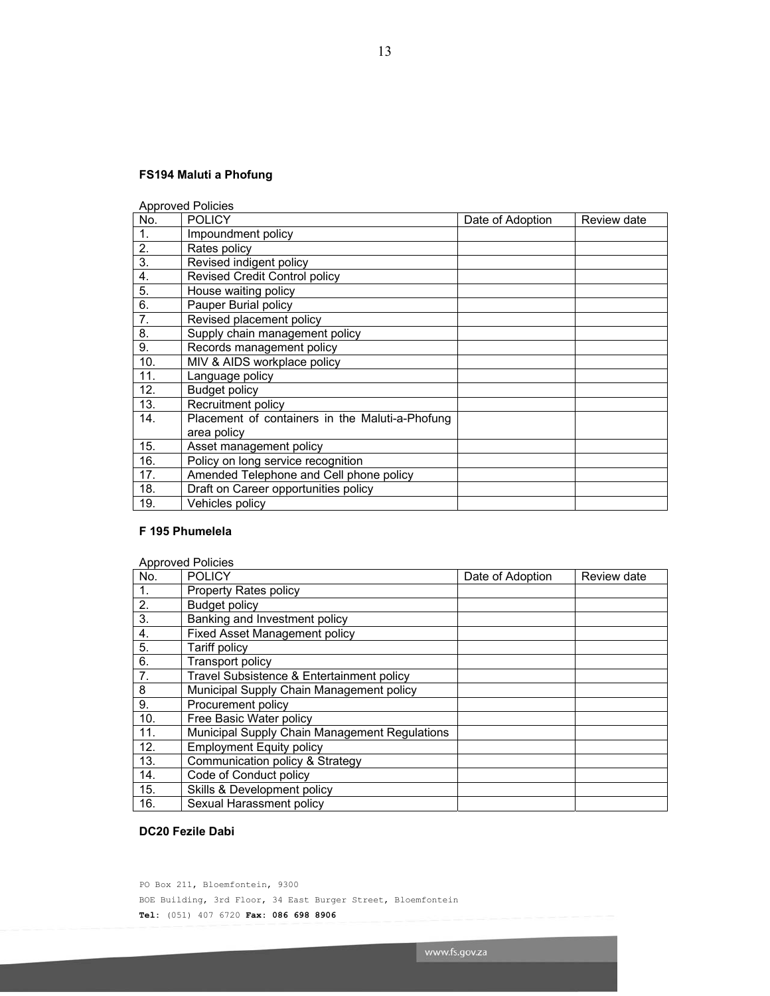# **FS194 Maluti a Phofung**

Approved Policies

| No.            | <b>POLICY</b>                                   | Date of Adoption | Review date |
|----------------|-------------------------------------------------|------------------|-------------|
| $\mathbf{1}$ . | Impoundment policy                              |                  |             |
| 2.             | Rates policy                                    |                  |             |
| 3.             | Revised indigent policy                         |                  |             |
| 4.             | <b>Revised Credit Control policy</b>            |                  |             |
| 5.             | House waiting policy                            |                  |             |
| 6.             | Pauper Burial policy                            |                  |             |
| 7.             | Revised placement policy                        |                  |             |
| 8.             | Supply chain management policy                  |                  |             |
| 9.             | Records management policy                       |                  |             |
| 10.            | MIV & AIDS workplace policy                     |                  |             |
| 11.            | Language policy                                 |                  |             |
| 12.            | <b>Budget policy</b>                            |                  |             |
| 13.            | Recruitment policy                              |                  |             |
| 14.            | Placement of containers in the Maluti-a-Phofung |                  |             |
|                | area policy                                     |                  |             |
| 15.            | Asset management policy                         |                  |             |
| 16.            | Policy on long service recognition              |                  |             |
| 17.            | Amended Telephone and Cell phone policy         |                  |             |
| 18.            | Draft on Career opportunities policy            |                  |             |
| 19.            | Vehicles policy                                 |                  |             |

### **F 195 Phumelela**

| <b>Approved Policies</b> |                                               |                  |             |  |
|--------------------------|-----------------------------------------------|------------------|-------------|--|
| No.                      | <b>POLICY</b>                                 | Date of Adoption | Review date |  |
| 1.                       | Property Rates policy                         |                  |             |  |
| 2.                       | <b>Budget policy</b>                          |                  |             |  |
| 3.                       | Banking and Investment policy                 |                  |             |  |
| 4.                       | <b>Fixed Asset Management policy</b>          |                  |             |  |
| 5.                       | Tariff policy                                 |                  |             |  |
| 6.                       | <b>Transport policy</b>                       |                  |             |  |
| 7.                       | Travel Subsistence & Entertainment policy     |                  |             |  |
| 8                        | Municipal Supply Chain Management policy      |                  |             |  |
| 9.                       | Procurement policy                            |                  |             |  |
| 10.                      | Free Basic Water policy                       |                  |             |  |
| 11.                      | Municipal Supply Chain Management Regulations |                  |             |  |
| 12.                      | <b>Employment Equity policy</b>               |                  |             |  |
| 13.                      | Communication policy & Strategy               |                  |             |  |
| 14.                      | Code of Conduct policy                        |                  |             |  |
| 15.                      | Skills & Development policy                   |                  |             |  |
| 16.                      | Sexual Harassment policy                      |                  |             |  |

# **DC20 Fezile Dabi**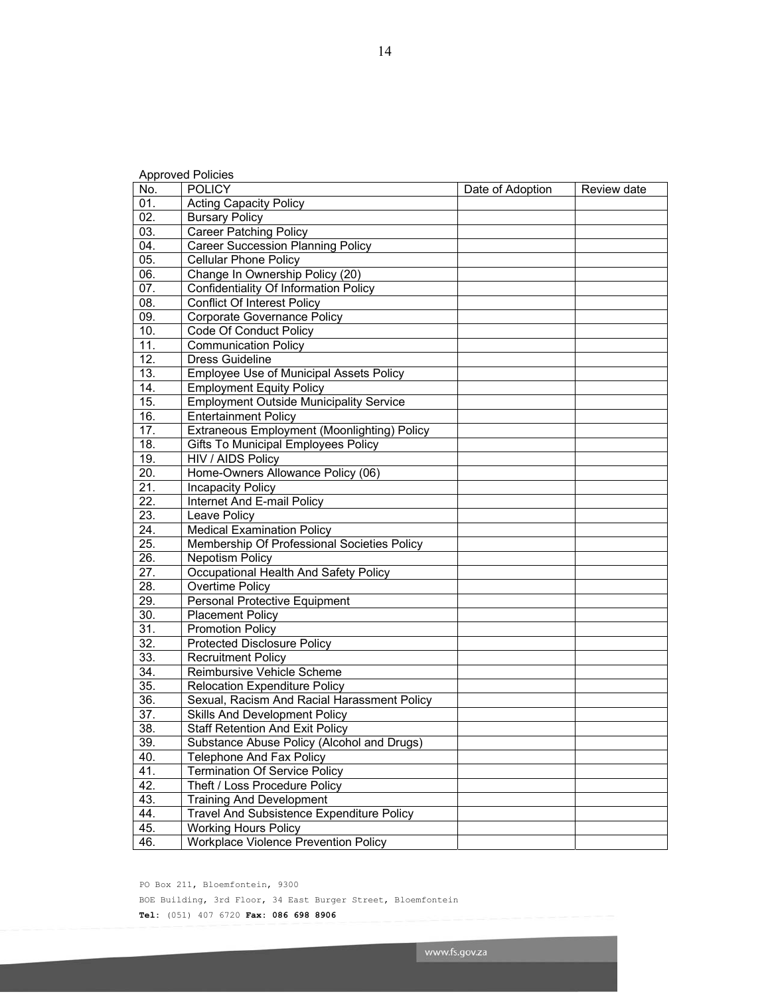| No.               | <b>POLICY</b>                                      | Date of Adoption | Review date |
|-------------------|----------------------------------------------------|------------------|-------------|
| 01.               | <b>Acting Capacity Policy</b>                      |                  |             |
| 02.               | <b>Bursary Policy</b>                              |                  |             |
| 03.               | <b>Career Patching Policy</b>                      |                  |             |
| 04.               | <b>Career Succession Planning Policy</b>           |                  |             |
| 05.               | <b>Cellular Phone Policy</b>                       |                  |             |
| 06.               | Change In Ownership Policy (20)                    |                  |             |
| 07.               | <b>Confidentiality Of Information Policy</b>       |                  |             |
| 08.               | <b>Conflict Of Interest Policy</b>                 |                  |             |
| 09.               | Corporate Governance Policy                        |                  |             |
| 10.               | Code Of Conduct Policy                             |                  |             |
| 11.               | <b>Communication Policy</b>                        |                  |             |
| 12.               | <b>Dress Guideline</b>                             |                  |             |
| 13.               | <b>Employee Use of Municipal Assets Policy</b>     |                  |             |
| 14.               | <b>Employment Equity Policy</b>                    |                  |             |
| 15.               | <b>Employment Outside Municipality Service</b>     |                  |             |
| 16.               | <b>Entertainment Policy</b>                        |                  |             |
| 17.               | <b>Extraneous Employment (Moonlighting) Policy</b> |                  |             |
| 18.               | <b>Gifts To Municipal Employees Policy</b>         |                  |             |
| 19.               | HIV / AIDS Policy                                  |                  |             |
| 20.               | Home-Owners Allowance Policy (06)                  |                  |             |
| 21.               | <b>Incapacity Policy</b>                           |                  |             |
| 22.               | Internet And E-mail Policy                         |                  |             |
| 23.               | Leave Policy                                       |                  |             |
| 24.               | <b>Medical Examination Policy</b>                  |                  |             |
| 25.               | Membership Of Professional Societies Policy        |                  |             |
| $\overline{26}$ . | <b>Nepotism Policy</b>                             |                  |             |
| $\overline{27}$ . | Occupational Health And Safety Policy              |                  |             |
| 28.               | Overtime Policy                                    |                  |             |
| 29.               | Personal Protective Equipment                      |                  |             |
| 30.               | <b>Placement Policy</b>                            |                  |             |
| 31.               | <b>Promotion Policy</b>                            |                  |             |
| $\overline{32}$ . | <b>Protected Disclosure Policy</b>                 |                  |             |
| 33.               | <b>Recruitment Policy</b>                          |                  |             |
| 34.               | Reimbursive Vehicle Scheme                         |                  |             |
| 35.               | Relocation Expenditure Policy                      |                  |             |
| 36.               | Sexual, Racism And Racial Harassment Policy        |                  |             |
| 37.               | Skills And Development Policy                      |                  |             |
| 38.               | <b>Staff Retention And Exit Policy</b>             |                  |             |
| 39.               | Substance Abuse Policy (Alcohol and Drugs)         |                  |             |
| 40.               | <b>Telephone And Fax Policy</b>                    |                  |             |
| 41.               | <b>Termination Of Service Policy</b>               |                  |             |
| 42.               | Theft / Loss Procedure Policy                      |                  |             |
| 43.               | <b>Training And Development</b>                    |                  |             |
| 44.               | Travel And Subsistence Expenditure Policy          |                  |             |
| 45.               | <b>Working Hours Policy</b>                        |                  |             |
| 46.               | <b>Workplace Violence Prevention Policy</b>        |                  |             |

PO Box 211, Bloemfontein, 9300

Approved Policies

BOE Building, 3rd Floor, 34 East Burger Street, Bloemfontein

**Tel:** (051) 407 6720 **Fax: 086 698 8906**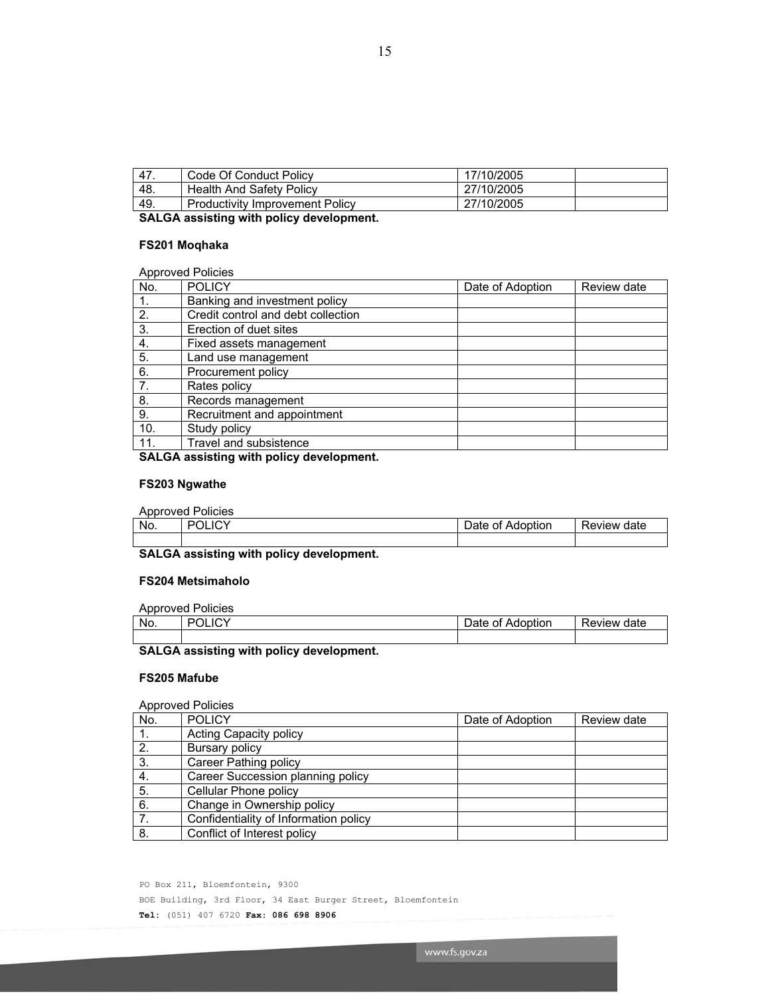47. Code Of Conduct Policy 17/10/2005 48. Health And Safety Policy **27/10/2005** 49. Productivity Improvement Policy 27/10/2005

# **FS201 Moqhaka**

### Approved Policies

| No.        | $'$ , $'$ , $'$ , $'$ , $'$ , $'$ , $'$ , $'$ , $'$ , $'$ , $'$ , $'$ , $'$ , $'$ , $'$ , $'$ , $'$ , $'$ , $'$ , $'$ , $'$ , $'$ , $'$ , $'$ , $'$ , $'$ , $'$ , $'$ , $'$ , $'$ , $'$ , $'$ , $'$ , $'$ , $'$ , $'$ , $'$ ,<br><b>POLICY</b> | Date of Adoption | Review date |
|------------|------------------------------------------------------------------------------------------------------------------------------------------------------------------------------------------------------------------------------------------------|------------------|-------------|
| $\cdot$ 1. | Banking and investment policy                                                                                                                                                                                                                  |                  |             |
| 2.         | Credit control and debt collection                                                                                                                                                                                                             |                  |             |
| 3.         | Erection of duet sites                                                                                                                                                                                                                         |                  |             |
| 4.         | Fixed assets management                                                                                                                                                                                                                        |                  |             |
| 5.         | Land use management                                                                                                                                                                                                                            |                  |             |
| 6.         | Procurement policy                                                                                                                                                                                                                             |                  |             |
| 7.         | Rates policy                                                                                                                                                                                                                                   |                  |             |
| 8.         | Records management                                                                                                                                                                                                                             |                  |             |
| 9.         | Recruitment and appointment                                                                                                                                                                                                                    |                  |             |
| 10.        | Study policy                                                                                                                                                                                                                                   |                  |             |
| 11.        | Travel and subsistence                                                                                                                                                                                                                         |                  |             |

**SALGA assisting with policy development.** 

**SALGA assisting with policy development.** 

### **FS203 Ngwathe**

### Approved Policies

| No. |  | Date<br>Adoption<br>Οt | Review date |
|-----|--|------------------------|-------------|
|     |  |                        |             |

# **SALGA assisting with policy development.**

### **FS204 Metsimaholo**

Approved Policies

| No. | OMIN<br>-10<br>- | $\cdot$ .<br>Date<br>Adoption<br>οt | Review date |
|-----|------------------|-------------------------------------|-------------|
|     |                  |                                     |             |

# **SALGA assisting with policy development.**

### **FS205 Mafube**

### Approved Policies

| No. | <b>POLICY</b>                         | Date of Adoption | Review date |
|-----|---------------------------------------|------------------|-------------|
| 1.  | <b>Acting Capacity policy</b>         |                  |             |
| 2.  | Bursary policy                        |                  |             |
| 3.  | Career Pathing policy                 |                  |             |
| 4.  | Career Succession planning policy     |                  |             |
| 5.  | Cellular Phone policy                 |                  |             |
| 6.  | Change in Ownership policy            |                  |             |
|     | Confidentiality of Information policy |                  |             |
| 8.  | Conflict of Interest policy           |                  |             |

PO Box 211, Bloemfontein, 9300 BOE Building, 3rd Floor, 34 East Burger Street, Bloemfontein **Tel:** (051) 407 6720 **Fax: 086 698 8906**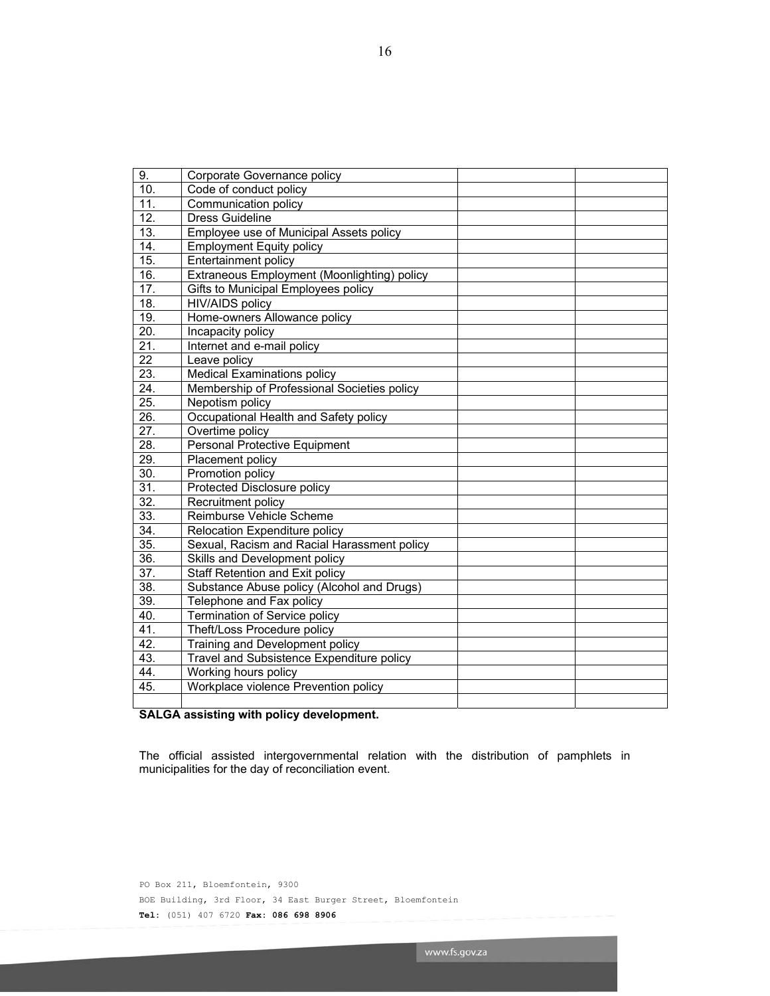| 9.                | Corporate Governance policy                                 |  |
|-------------------|-------------------------------------------------------------|--|
| 10.               | Code of conduct policy                                      |  |
| 11.               | Communication policy                                        |  |
| 12.               | <b>Dress Guideline</b>                                      |  |
| 13.               | Employee use of Municipal Assets policy                     |  |
| $\overline{14}$ . | <b>Employment Equity policy</b>                             |  |
| 15.               | <b>Entertainment policy</b>                                 |  |
| 16.               | Extraneous Employment (Moonlighting) policy                 |  |
| 17.               | Gifts to Municipal Employees policy                         |  |
| 18.               | <b>HIV/AIDS policy</b>                                      |  |
| 19.               | Home-owners Allowance policy                                |  |
| $\overline{20}$ . | Incapacity policy                                           |  |
| 21.               | Internet and e-mail policy                                  |  |
| $\overline{22}$   | Leave policy                                                |  |
| 23.               | <b>Medical Examinations policy</b>                          |  |
| 24.               | Membership of Professional Societies policy                 |  |
| 25.               | Nepotism policy                                             |  |
| 26.               | Occupational Health and Safety policy                       |  |
| $\overline{27}$ . | Overtime policy                                             |  |
| $\overline{28}$ . | <b>Personal Protective Equipment</b>                        |  |
| $\overline{29}$ . | Placement policy                                            |  |
| 30.               | Promotion policy                                            |  |
| $\overline{31}$   | Protected Disclosure policy                                 |  |
| $\overline{32}$ . | Recruitment policy                                          |  |
| $\overline{33}$ . | Reimburse Vehicle Scheme                                    |  |
| 34.               | Relocation Expenditure policy                               |  |
| $\overline{35}$ . | Sexual, Racism and Racial Harassment policy                 |  |
| $\overline{36}$ . | Skills and Development policy                               |  |
| $\overline{37}$ . | Staff Retention and Exit policy                             |  |
| $\overline{38}$ . | Substance Abuse policy (Alcohol and Drugs)                  |  |
| $\overline{39}$ . | Telephone and Fax policy                                    |  |
| 40.               | Termination of Service policy                               |  |
| 41.               | Theft/Loss Procedure policy                                 |  |
| 42.               | Training and Development policy                             |  |
| 43.               | Travel and Subsistence Expenditure policy                   |  |
| 44.               | Working hours policy                                        |  |
| 45.               | Workplace violence Prevention policy                        |  |
|                   |                                                             |  |
| <b>CALCA</b>      | والمتروم المراوية والمرموز والإفارون ومرود الإسراء والمراوي |  |

### **SALGA assisting with policy development.**

The official assisted intergovernmental relation with the distribution of pamphlets in municipalities for the day of reconciliation event.